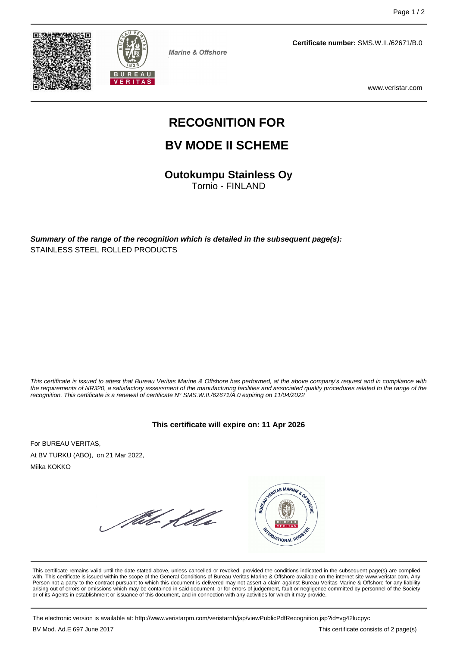



**Marine & Offshore** 

**Certificate number:** SMS.W.II./62671/B.0

www.veristar.com

# **RECOGNITION FOR**

# **BV MODE II SCHEME**

**Outokumpu Stainless Oy**

Tornio - FINLAND

**Summary of the range of the recognition which is detailed in the subsequent page(s):** STAINLESS STEEL ROLLED PRODUCTS

This certificate is issued to attest that Bureau Veritas Marine & Offshore has performed, at the above company's request and in compliance with the requirements of NR320, a satisfactory assessment of the manufacturing facilities and associated quality procedures related to the range of the recognition. This certificate is a renewal of certificate N° SMS.W.II./62671/A.0 expiring on 11/04/2022

#### **This certificate will expire on: 11 Apr 2026**

For BUREAU VERITAS, At BV TURKU (ABO), on 21 Mar 2022, Miika KOKKO

führ Kelle



This certificate remains valid until the date stated above, unless cancelled or revoked, provided the conditions indicated in the subsequent page(s) are complied with. This certificate is issued within the scope of the General Conditions of Bureau Veritas Marine & Offshore available on the internet site www.veristar.com. Any Person not a party to the contract pursuant to which this document is delivered may not assert a claim against Bureau Veritas Marine & Offshore for any liability arising out of errors or omissions which may be contained in said document, or for errors of judgement, fault or negligence committed by personnel of the Society<br>or of its Agents in establishment or issuance of this docume

The electronic version is available at: http://www.veristarpm.com/veristarnb/jsp/viewPublicPdfRecognition.jsp?id=vg42lucpyc